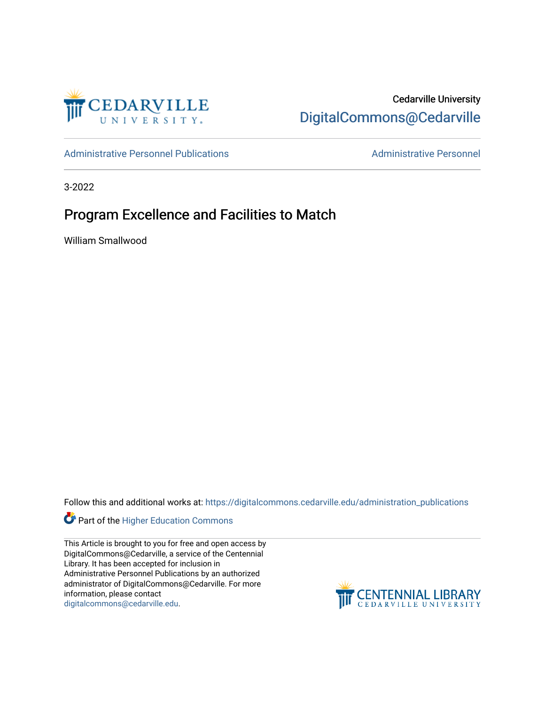

## Cedarville University [DigitalCommons@Cedarville](https://digitalcommons.cedarville.edu/)

[Administrative Personnel Publications](https://digitalcommons.cedarville.edu/administration_publications) **Administrative Personnel** Administrative Personnel

3-2022

## Program Excellence and Facilities to Match

William Smallwood

Follow this and additional works at: [https://digitalcommons.cedarville.edu/administration\\_publications](https://digitalcommons.cedarville.edu/administration_publications?utm_source=digitalcommons.cedarville.edu%2Fadministration_publications%2F259&utm_medium=PDF&utm_campaign=PDFCoverPages) 



This Article is brought to you for free and open access by DigitalCommons@Cedarville, a service of the Centennial Library. It has been accepted for inclusion in Administrative Personnel Publications by an authorized administrator of DigitalCommons@Cedarville. For more information, please contact [digitalcommons@cedarville.edu](mailto:digitalcommons@cedarville.edu).